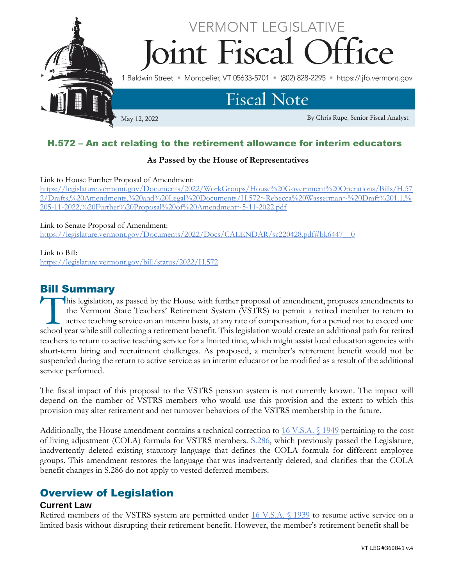

## H.572 – An act relating to the retirement allowance for interim educators

#### **As Passed by the House of Representatives**

Link to House Further Proposal of Amendment:

[https://legislature.vermont.gov/Documents/2022/WorkGroups/House%20Government%20Operations/Bills/H.57](https://legislature.vermont.gov/Documents/2022/WorkGroups/House%20Government%20Operations/Bills/H.572/Drafts,%20Amendments,%20and%20Legal%20Documents/H.572~Rebecca%20Wasserman~%20Draft%201.1,%205-11-2022,%20Further%20Proposal%20of%20Amendment~5-11-2022.pdf) [2/Drafts,%20Amendments,%20and%20Legal%20Documents/H.572~Rebecca%20Wasserman~%20Draft%201.1,%](https://legislature.vermont.gov/Documents/2022/WorkGroups/House%20Government%20Operations/Bills/H.572/Drafts,%20Amendments,%20and%20Legal%20Documents/H.572~Rebecca%20Wasserman~%20Draft%201.1,%205-11-2022,%20Further%20Proposal%20of%20Amendment~5-11-2022.pdf) [205-11-2022,%20Further%20Proposal%20of%20Amendment~5-11-2022.pdf](https://legislature.vermont.gov/Documents/2022/WorkGroups/House%20Government%20Operations/Bills/H.572/Drafts,%20Amendments,%20and%20Legal%20Documents/H.572~Rebecca%20Wasserman~%20Draft%201.1,%205-11-2022,%20Further%20Proposal%20of%20Amendment~5-11-2022.pdf)

Link to Senate Proposal of Amendment:

[https://legislature.vermont.gov/Documents/2022/Docs/CALENDAR/sc220428.pdf#bk6447\\_\\_0](https://legislature.vermont.gov/Documents/2022/Docs/CALENDAR/sc220428.pdf#bk6447__0)

#### Link to Bill:

<https://legislature.vermont.gov/bill/status/2022/H.572>

# Bill Summary

his legislation, as passed by the House with further proposal of amendment, proposes amendments to the Vermont State Teachers' Retirement System (VSTRS) to permit a retired member to return to active teaching service on an interim basis, at any rate of compensation, for a period not to exceed one This legislation, as passed by the House with further proposal of amendment, proposes amendments to the Vermont State Teachers' Retirement System (VSTRS) to permit a retired member to return to active teaching service on a teachers to return to active teaching service for a limited time, which might assist local education agencies with short-term hiring and recruitment challenges. As proposed, a member's retirement benefit would not be suspended during the return to active service as an interim educator or be modified as a result of the additional service performed.

The fiscal impact of this proposal to the VSTRS pension system is not currently known. The impact will depend on the number of VSTRS members who would use this provision and the extent to which this provision may alter retirement and net turnover behaviors of the VSTRS membership in the future.

Additionally, the House amendment contains a technical correction t[o 16 V.S.A. §](https://legislature.vermont.gov/statutes/section/16/055/01949) 1949 pertaining to the cost of living adjustment (COLA) formula for VSTRS members. [S.286,](https://legislature.vermont.gov/bill/status/2022/S.286) which previously passed the Legislature, inadvertently deleted existing statutory language that defines the COLA formula for different employee groups. This amendment restores the language that was inadvertently deleted, and clarifies that the COLA benefit changes in S.286 do not apply to vested deferred members.

# Overview of Legislation

#### **Current Law**

Retired members of the VSTRS system are permitted under [16 V.S.A. §](https://legislature.vermont.gov/statutes/section/16/055/01939) 1939 to resume active service on a limited basis without disrupting their retirement benefit. However, the member's retirement benefit shall be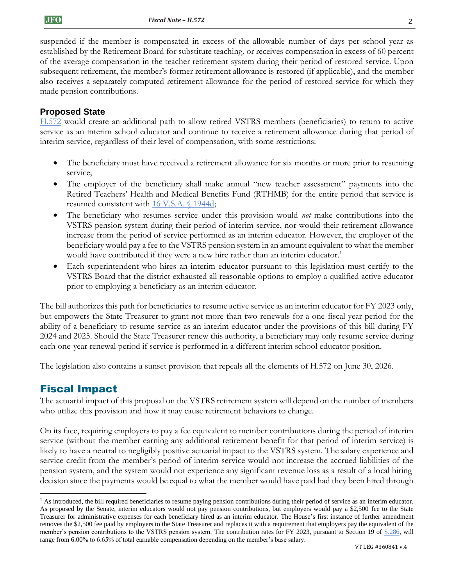suspended if the member is compensated in excess of the allowable number of days per school year as established by the Retirement Board for substitute teaching, or receives compensation in excess of 60 percent of the average compensation in the teacher retirement system during their period of restored service. Upon subsequent retirement, the member's former retirement allowance is restored (if applicable), and the member also receives a separately computed retirement allowance for the period of restored service for which they made pension contributions.

### **Proposed State**

[H.572](https://legislature.vermont.gov/bill/status/2022/H.572) would create an additional path to allow retired VSTRS members (beneficiaries) to return to active service as an interim school educator and continue to receive a retirement allowance during that period of interim service, regardless of their level of compensation, with some restrictions:

- The beneficiary must have received a retirement allowance for six months or more prior to resuming service;
- The employer of the beneficiary shall make annual "new teacher assessment" payments into the Retired Teachers' Health and Medical Benefits Fund (RTHMB) for the entire period that service is resumed consistent with [16 V.S.A. §](https://legislature.vermont.gov/statutes/section/16/055/01944d) 1944d;
- The beneficiary who resumes service under this provision would *not* make contributions into the VSTRS pension system during their period of interim service, nor would their retirement allowance increase from the period of service performed as an interim educator. However, the employer of the beneficiary would pay a fee to the VSTRS pension system in an amount equivalent to what the member would have contributed if they were a new hire rather than an interim educator.<sup>1</sup>
- Each superintendent who hires an interim educator pursuant to this legislation must certify to the VSTRS Board that the district exhausted all reasonable options to employ a qualified active educator prior to employing a beneficiary as an interim educator.

The bill authorizes this path for beneficiaries to resume active service as an interim educator for FY 2023 only, but empowers the State Treasurer to grant not more than two renewals for a one-fiscal-year period for the ability of a beneficiary to resume service as an interim educator under the provisions of this bill during FY 2024 and 2025. Should the State Treasurer renew this authority, a beneficiary may only resume service during each one-year renewal period if service is performed in a different interim school educator position.

The legislation also contains a sunset provision that repeals all the elements of H.572 on June 30, 2026.

### Fiscal Impact

The actuarial impact of this proposal on the VSTRS retirement system will depend on the number of members who utilize this provision and how it may cause retirement behaviors to change.

On its face, requiring employers to pay a fee equivalent to member contributions during the period of interim service (without the member earning any additional retirement benefit for that period of interim service) is likely to have a neutral to negligibly positive actuarial impact to the VSTRS system. The salary experience and service credit from the member's period of interim service would not increase the accrued liabilities of the pension system, and the system would not experience any significant revenue loss as a result of a local hiring decision since the payments would be equal to what the member would have paid had they been hired through

<sup>&</sup>lt;sup>1</sup> As introduced, the bill required beneficiaries to resume paying pension contributions during their period of service as an interim educator. As proposed by the Senate, interim educators would not pay pension contributions, but employers would pay a \$2,500 fee to the State Treasurer for administrative expenses for each beneficiary hired as an interim educator. The House's first instance of further amendment removes the \$2,500 fee paid by employers to the State Treasurer and replaces it with a requirement that employers pay the equivalent of the member's pension contributions to the VSTRS pension system. The contribution rates for FY 2023, pursuant to Section 19 of [S.286,](https://legislature.vermont.gov/bill/status/2022/S.286) will range from 6.00% to 6.65% of total earnable compensation depending on the member's base salary.